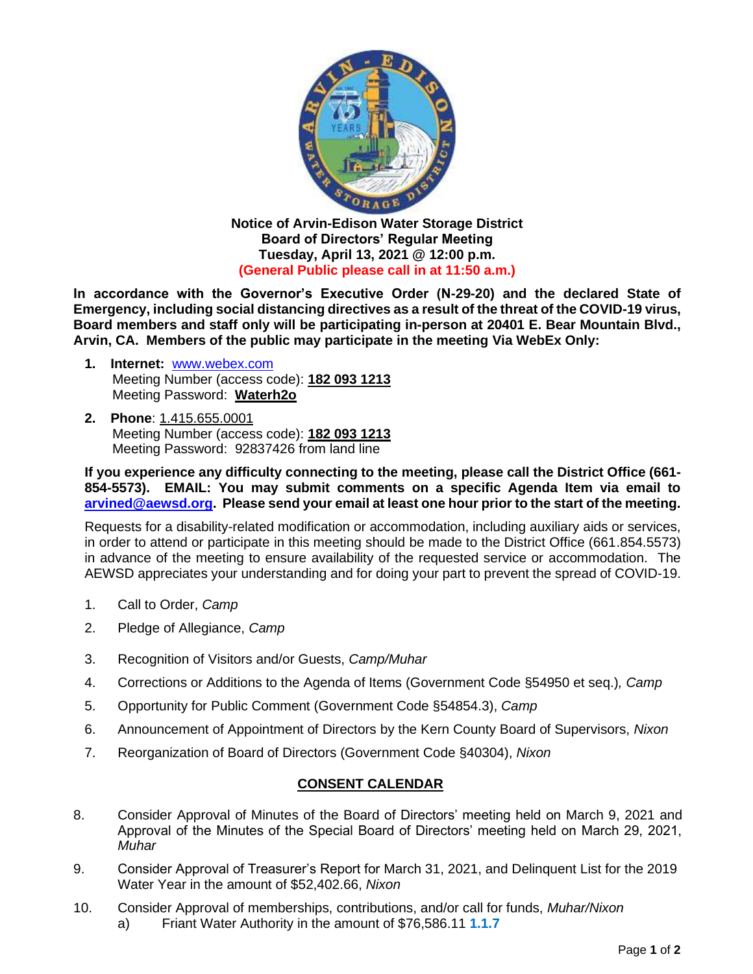

**Notice of Arvin-Edison Water Storage District Board of Directors' Regular Meeting Tuesday, April 13, 2021 @ 12:00 p.m. (General Public please call in at 11:50 a.m.)**

**In accordance with the Governor's Executive Order (N-29-20) and the declared State of Emergency, including social distancing directives as a result of the threat of the COVID-19 virus, Board members and staff only will be participating in-person at 20401 E. Bear Mountain Blvd., Arvin, CA. Members of the public may participate in the meeting Via WebEx Only:**

- **1. Internet:** [www.webex.com](http://www.webex.com/) Meeting Number (access code): **182 093 1213** Meeting Password: **Waterh2o**
- **2. Phone**: 1.415.655.0001 Meeting Number (access code): **182 093 1213** Meeting Password: 92837426 from land line

**If you experience any difficulty connecting to the meeting, please call the District Office (661- 854-5573). EMAIL: You may submit comments on a specific Agenda Item via email to [arvined@aewsd.org.](mailto:arvined@aewsd.org) Please send your email at least one hour prior to the start of the meeting.**

Requests for a disability-related modification or accommodation, including auxiliary aids or services, in order to attend or participate in this meeting should be made to the District Office (661.854.5573) in advance of the meeting to ensure availability of the requested service or accommodation. The AEWSD appreciates your understanding and for doing your part to prevent the spread of COVID-19.

- 1. Call to Order, *Camp*
- 2. Pledge of Allegiance, *Camp*
- 3. Recognition of Visitors and/or Guests, *Camp/Muhar*
- 4. Corrections or Additions to the Agenda of Items (Government Code §54950 et seq.)*, Camp*
- 5. Opportunity for Public Comment (Government Code §54854.3), *Camp*
- 6. Announcement of Appointment of Directors by the Kern County Board of Supervisors, *Nixon*
- 7. Reorganization of Board of Directors (Government Code §40304), *Nixon*

## **CONSENT CALENDAR**

- 8. Consider Approval of Minutes of the Board of Directors' meeting held on March 9, 2021 and Approval of the Minutes of the Special Board of Directors' meeting held on March 29, 2021, *Muhar*
- 9. Consider Approval of Treasurer's Report for March 31, 2021, and Delinquent List for the 2019 Water Year in the amount of \$52,402.66, *Nixon*
- 10. Consider Approval of memberships, contributions, and/or call for funds, *Muhar/Nixon*
	- a) Friant Water Authority in the amount of \$76,586.11 **1.1.7**